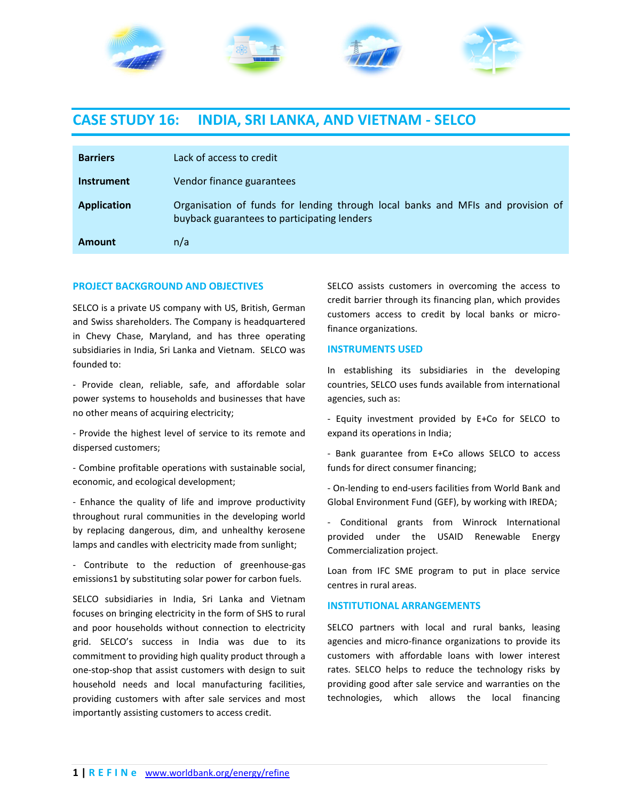

# **CASE STUDY 16: INDIA, SRI LANKA, AND VIETNAM - SELCO**

| <b>Barriers</b>    | Lack of access to credit                                                                                                       |
|--------------------|--------------------------------------------------------------------------------------------------------------------------------|
| <b>Instrument</b>  | Vendor finance guarantees                                                                                                      |
| <b>Application</b> | Organisation of funds for lending through local banks and MFIs and provision of<br>buyback guarantees to participating lenders |
| Amount             | n/a                                                                                                                            |

## **PROJECT BACKGROUND AND OBJECTIVES**

SELCO is a private US company with US, British, German and Swiss shareholders. The Company is headquartered in Chevy Chase, Maryland, and has three operating subsidiaries in India, Sri Lanka and Vietnam. SELCO was founded to:

- Provide clean, reliable, safe, and affordable solar power systems to households and businesses that have no other means of acquiring electricity;

- Provide the highest level of service to its remote and dispersed customers;

- Combine profitable operations with sustainable social, economic, and ecological development;

- Enhance the quality of life and improve productivity throughout rural communities in the developing world by replacing dangerous, dim, and unhealthy kerosene lamps and candles with electricity made from sunlight;

- Contribute to the reduction of greenhouse-gas emissions1 by substituting solar power for carbon fuels.

SELCO subsidiaries in India, Sri Lanka and Vietnam focuses on bringing electricity in the form of SHS to rural and poor households without connection to electricity grid. SELCO's success in India was due to its commitment to providing high quality product through a one-stop-shop that assist customers with design to suit household needs and local manufacturing facilities, providing customers with after sale services and most importantly assisting customers to access credit.

SELCO assists customers in overcoming the access to credit barrier through its financing plan, which provides customers access to credit by local banks or microfinance organizations.

#### **INSTRUMENTS USED**

In establishing its subsidiaries in the developing countries, SELCO uses funds available from international agencies, such as:

- Equity investment provided by E+Co for SELCO to expand its operations in India;

- Bank guarantee from E+Co allows SELCO to access funds for direct consumer financing;

- On-lending to end-users facilities from World Bank and Global Environment Fund (GEF), by working with IREDA;

- Conditional grants from Winrock International provided under the USAID Renewable Energy Commercialization project.

Loan from IFC SME program to put in place service centres in rural areas.

#### **INSTITUTIONAL ARRANGEMENTS**

SELCO partners with local and rural banks, leasing agencies and micro-finance organizations to provide its customers with affordable loans with lower interest rates. SELCO helps to reduce the technology risks by providing good after sale service and warranties on the technologies, which allows the local financing